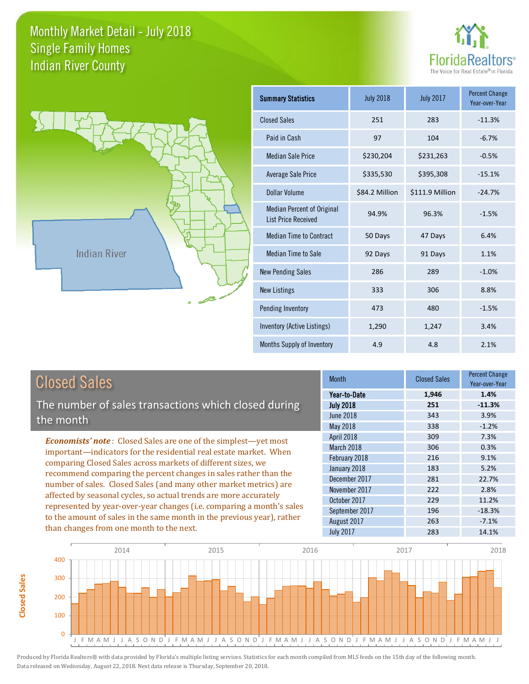**Closed Sales**

**Closed Sales** 





| <b>Summary Statistics</b>                                       | <b>July 2018</b> | <b>July 2017</b> | <b>Percent Change</b><br>Year-over-Year |
|-----------------------------------------------------------------|------------------|------------------|-----------------------------------------|
| <b>Closed Sales</b>                                             | 251              | 283              | $-11.3%$                                |
| Paid in Cash                                                    | 97               | 104              | $-6.7%$                                 |
| <b>Median Sale Price</b>                                        | \$230,204        | \$231,263        | $-0.5%$                                 |
| <b>Average Sale Price</b>                                       | \$335,530        | \$395,308        | $-15.1%$                                |
| Dollar Volume                                                   | \$84.2 Million   | \$111.9 Million  | $-24.7%$                                |
| <b>Median Percent of Original</b><br><b>List Price Received</b> | 94.9%            | 96.3%            | $-1.5%$                                 |
| <b>Median Time to Contract</b>                                  | 50 Days          | 47 Days          | 6.4%                                    |
| Median Time to Sale                                             | 92 Days          | 91 Days          | 1.1%                                    |
| <b>New Pending Sales</b>                                        | 286              | 289              | $-1.0%$                                 |
| <b>New Listings</b>                                             | 333              | 306              | 8.8%                                    |
| Pending Inventory                                               | 473              | 480              | $-1.5%$                                 |
| Inventory (Active Listings)                                     | 1,290            | 1,247            | 3.4%                                    |
| Months Supply of Inventory                                      | 4.9              | 4.8              | 2.1%                                    |

| <b>Closed Sales</b>                                                                                                                    |                  | <b>Closed Sales</b> | <b>Percent Change</b><br>Year-over-Year |
|----------------------------------------------------------------------------------------------------------------------------------------|------------------|---------------------|-----------------------------------------|
|                                                                                                                                        | Year-to-Date     | 1,946               | 1.4%                                    |
| The number of sales transactions which closed during                                                                                   | <b>July 2018</b> | 251                 | $-11.3%$                                |
| the month                                                                                                                              | <b>June 2018</b> | 343                 | 3.9%                                    |
|                                                                                                                                        | May 2018         | 338                 | $-1.2%$                                 |
| <b>Economists' note:</b> Closed Sales are one of the simplest—yet most                                                                 | April 2018       | 309                 | 7.3%                                    |
| important-indicators for the residential real estate market. When                                                                      | March 2018       | 306                 | 0.3%                                    |
| comparing Closed Sales across markets of different sizes, we                                                                           | February 2018    | 216                 | 9.1%                                    |
| recommend comparing the percent changes in sales rather than the                                                                       | January 2018     | 183                 | 5.2%                                    |
|                                                                                                                                        | December 2017    | 281                 | 22.7%                                   |
| number of sales. Closed Sales (and many other market metrics) are<br>affected by seasonal cycles, so actual trends are more accurately | November 2017    | 222                 | 2.8%                                    |
|                                                                                                                                        | October 2017     | 229                 | 11.2%                                   |
| represented by year-over-year changes (i.e. comparing a month's sales                                                                  | September 2017   | 196                 | $-18.3%$                                |
| to the amount of sales in the same month in the previous year), rather                                                                 | August 2017      | 263                 | $-7.1%$                                 |
| than changes from one month to the next.                                                                                               | <b>July 2017</b> | 283                 | 14.1%                                   |

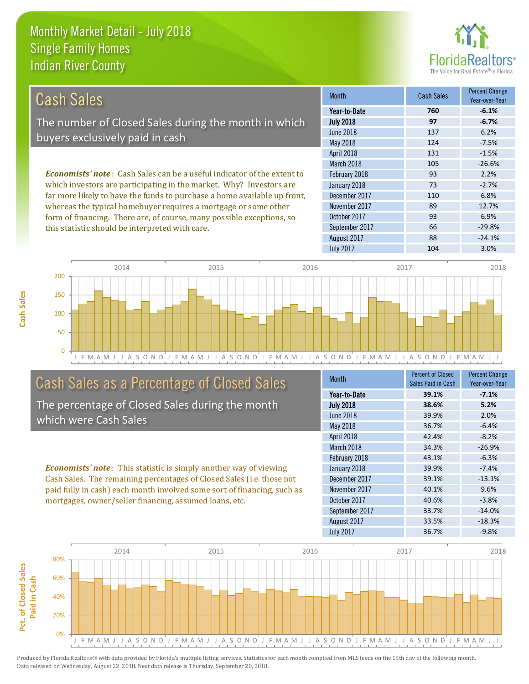this statistic should be interpreted with care.



66 -29.8%

| Cash Sales                                                                      | <b>Month</b>     | <b>Cash Sales</b> | <b>Percent Change</b><br>Year-over-Year |
|---------------------------------------------------------------------------------|------------------|-------------------|-----------------------------------------|
|                                                                                 | Year-to-Date     | 760               | $-6.1%$                                 |
| The number of Closed Sales during the month in which                            | <b>July 2018</b> | 97                | $-6.7%$                                 |
| buyers exclusively paid in cash                                                 | June 2018        | 137               | 6.2%                                    |
|                                                                                 | May 2018         | 124               | $-7.5%$                                 |
|                                                                                 | April 2018       | 131               | $-1.5%$                                 |
|                                                                                 | March 2018       | 105               | $-26.6%$                                |
| <b>Economists' note</b> : Cash Sales can be a useful indicator of the extent to | February 2018    | 93                | 2.2%                                    |
| which investors are participating in the market. Why? Investors are             | January 2018     | 73                | $-2.7%$                                 |
| far more likely to have the funds to purchase a home available up front,        | December 2017    | 110               | 6.8%                                    |
| whereas the typical homebuyer requires a mortgage or some other                 | November 2017    | 89                | 12.7%                                   |
| form of financing. There are, of course, many possible exceptions, so           | October 2017     | 93                | 6.9%                                    |

J F M A M J J A S O N D J F M A M J J A S O N D J F M A M J J A S O N D J F M A M J J A S O N D J F M A M J J  $\Omega$ 50 100 150 200 2014 2015 2016 2017 2018

# Cash Sales as a Percentage of Closed Sales

The percentage of Closed Sales during the month which were Cash Sales

*Economists' note* : This statistic is simply another way of viewing Cash Sales. The remaining percentages of Closed Sales (i.e. those not paid fully in cash) each month involved some sort of financing, such as mortgages, owner/seller financing, assumed loans, etc.

| <b>Month</b>     | <b>Percent of Closed</b> | <b>Percent Change</b> |
|------------------|--------------------------|-----------------------|
|                  | Sales Paid in Cash       | Year-over-Year        |
| Year-to-Date     | 39.1%                    | $-7.1%$               |
| <b>July 2018</b> | 38.6%                    | 5.2%                  |
| <b>June 2018</b> | 39.9%                    | 2.0%                  |
| May 2018         | 36.7%                    | $-6.4%$               |
| April 2018       | 42.4%                    | $-8.2%$               |
| March 2018       | 34.3%                    | $-26.9%$              |
| February 2018    | 43.1%                    | $-6.3%$               |
| January 2018     | 39.9%                    | $-7.4%$               |
| December 2017    | 39.1%                    | $-13.1%$              |
| November 2017    | 40.1%                    | 9.6%                  |
| October 2017     | 40.6%                    | $-3.8%$               |
| September 2017   | 33.7%                    | $-14.0%$              |
| August 2017      | 33.5%                    | $-18.3%$              |
| <b>July 2017</b> | 36.7%                    | $-9.8%$               |

August 2017 **88** -24.1%

September 2017

July 2017 104 3.0%

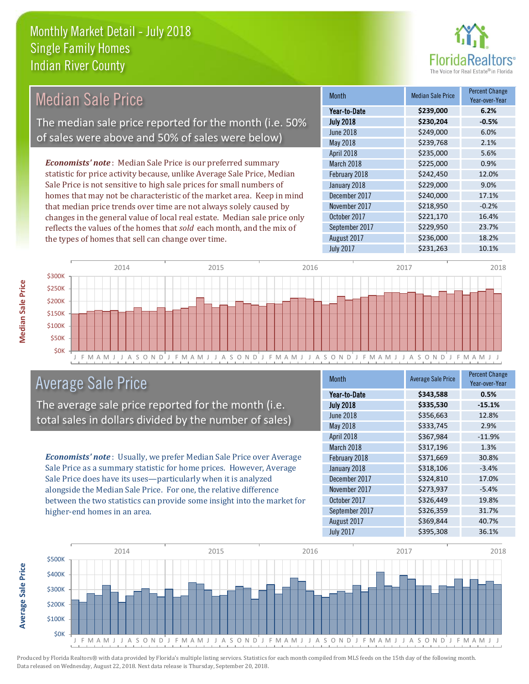

| <b>Median Sale Price</b>                                                  | <b>Month</b>      | <b>Median Sale Price</b> | <b>Percent Change</b><br>Year-over-Year |
|---------------------------------------------------------------------------|-------------------|--------------------------|-----------------------------------------|
|                                                                           | Year-to-Date      | \$239,000                | 6.2%                                    |
| The median sale price reported for the month (i.e. 50%                    | <b>July 2018</b>  | \$230,204                | $-0.5%$                                 |
|                                                                           | <b>June 2018</b>  | \$249,000                | 6.0%                                    |
| of sales were above and 50% of sales were below)                          | May 2018          | \$239,768                | 2.1%                                    |
|                                                                           | <b>April 2018</b> | \$235,000                | 5.6%                                    |
| <b>Economists' note:</b> Median Sale Price is our preferred summary       | March 2018        | \$225,000                | 0.9%                                    |
| statistic for price activity because, unlike Average Sale Price, Median   | February 2018     | \$242,450                | 12.0%                                   |
| Sale Price is not sensitive to high sale prices for small numbers of      | January 2018      | \$229,000                | 9.0%                                    |
| homes that may not be characteristic of the market area. Keep in mind     | December 2017     | \$240,000                | 17.1%                                   |
| that median price trends over time are not always solely caused by        | November 2017     | \$218,950                | $-0.2%$                                 |
| changes in the general value of local real estate. Median sale price only | October 2017      | \$221,170                | 16.4%                                   |
| reflects the values of the homes that sold each month, and the mix of     | September 2017    | \$229,950                | 23.7%                                   |
| the types of homes that sell can change over time.                        | August 2017       | \$236,000                | 18.2%                                   |



# Average Sale Price

The average sale price reported for the month (i.e. total sales in dollars divided by the number of sales)

*Economists' note* : Usually, we prefer Median Sale Price over Average Sale Price as a summary statistic for home prices. However, Average Sale Price does have its uses—particularly when it is analyzed alongside the Median Sale Price. For one, the relative difference between the two statistics can provide some insight into the market for higher-end homes in an area.

| <b>Month</b>     | <b>Average Sale Price</b> | <b>Percent Change</b><br>Year-over-Year |
|------------------|---------------------------|-----------------------------------------|
| Year-to-Date     | \$343,588                 | 0.5%                                    |
| <b>July 2018</b> | \$335,530                 | $-15.1%$                                |
| <b>June 2018</b> | \$356,663                 | 12.8%                                   |
| May 2018         | \$333,745                 | 2.9%                                    |
| April 2018       | \$367,984                 | $-11.9%$                                |
| March 2018       | \$317,196                 | 1.3%                                    |
| February 2018    | \$371,669                 | 30.8%                                   |
| January 2018     | \$318,106                 | $-3.4%$                                 |
| December 2017    | \$324,810                 | 17.0%                                   |
| November 2017    | \$273,937                 | $-5.4%$                                 |
| October 2017     | \$326,449                 | 19.8%                                   |
| September 2017   | \$326,359                 | 31.7%                                   |
| August 2017      | \$369,844                 | 40.7%                                   |
| <b>July 2017</b> | \$395,308                 | 36.1%                                   |

July 2017 **\$231,263** 10.1%



Produced by Florida Realtors® with data provided by Florida's multiple listing services. Statistics for each month compiled from MLS feeds on the 15th day of the following month. Data released on Wednesday, August 22, 2018. Next data release is Thursday, September 20, 2018.

**Average Sale Price**

**Average Sale Price**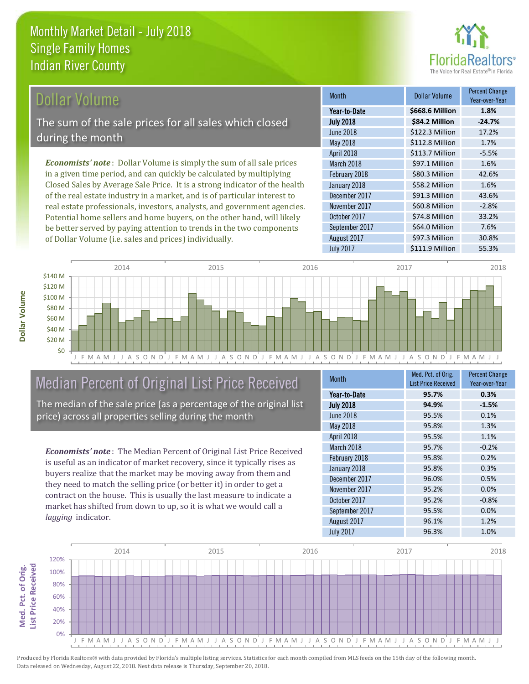

# Dollar Volume

The sum of the sale prices for all sales which closed during the month

*Economists' note* : Dollar Volume is simply the sum of all sale prices in a given time period, and can quickly be calculated by multiplying Closed Sales by Average Sale Price. It is a strong indicator of the health of the real estate industry in a market, and is of particular interest to real estate professionals, investors, analysts, and government agencies. Potential home sellers and home buyers, on the other hand, will likely be better served by paying attention to trends in the two components of Dollar Volume (i.e. sales and prices) individually.

| <b>Month</b>     | <b>Dollar Volume</b> | <b>Percent Change</b><br>Year-over-Year |
|------------------|----------------------|-----------------------------------------|
| Year-to-Date     | \$668.6 Million      | 1.8%                                    |
| <b>July 2018</b> | \$84.2 Million       | $-24.7%$                                |
| June 2018        | \$122.3 Million      | 17.2%                                   |
| May 2018         | \$112.8 Million      | 1.7%                                    |
| April 2018       | \$113.7 Million      | $-5.5%$                                 |
| March 2018       | \$97.1 Million       | 1.6%                                    |
| February 2018    | \$80.3 Million       | 42.6%                                   |
| January 2018     | \$58.2 Million       | 1.6%                                    |
| December 2017    | \$91.3 Million       | 43.6%                                   |
| November 2017    | \$60.8 Million       | $-2.8%$                                 |
| October 2017     | \$74.8 Million       | 33.2%                                   |
| September 2017   | \$64.0 Million       | 7.6%                                    |
| August 2017      | \$97.3 Million       | 30.8%                                   |
| <b>July 2017</b> | \$111.9 Million      | 55.3%                                   |



# Median Percent of Original List Price Received

The median of the sale price (as a percentage of the original list price) across all properties selling during the month

*Economists' note* : The Median Percent of Original List Price Received is useful as an indicator of market recovery, since it typically rises as buyers realize that the market may be moving away from them and they need to match the selling price (or better it) in order to get a contract on the house. This is usually the last measure to indicate a market has shifted from down to up, so it is what we would call a *lagging* indicator.

| <b>Month</b>     | Med. Pct. of Orig.         | <b>Percent Change</b> |
|------------------|----------------------------|-----------------------|
|                  | <b>List Price Received</b> | Year-over-Year        |
| Year-to-Date     | 95.7%                      | 0.3%                  |
| <b>July 2018</b> | 94.9%                      | $-1.5%$               |
| <b>June 2018</b> | 95.5%                      | 0.1%                  |
| <b>May 2018</b>  | 95.8%                      | 1.3%                  |
| April 2018       | 95.5%                      | 1.1%                  |
| March 2018       | 95.7%                      | $-0.2%$               |
| February 2018    | 95.8%                      | 0.2%                  |
| January 2018     | 95.8%                      | 0.3%                  |
| December 2017    | 96.0%                      | 0.5%                  |
| November 2017    | 95.2%                      | 0.0%                  |
| October 2017     | 95.2%                      | $-0.8%$               |
| September 2017   | 95.5%                      | 0.0%                  |
| August 2017      | 96.1%                      | 1.2%                  |
| <b>July 2017</b> | 96.3%                      | 1.0%                  |



Produced by Florida Realtors® with data provided by Florida's multiple listing services. Statistics for each month compiled from MLS feeds on the 15th day of the following month. Data released on Wednesday, August 22, 2018. Next data release is Thursday, September 20, 2018.

Med. Pct. of Orig.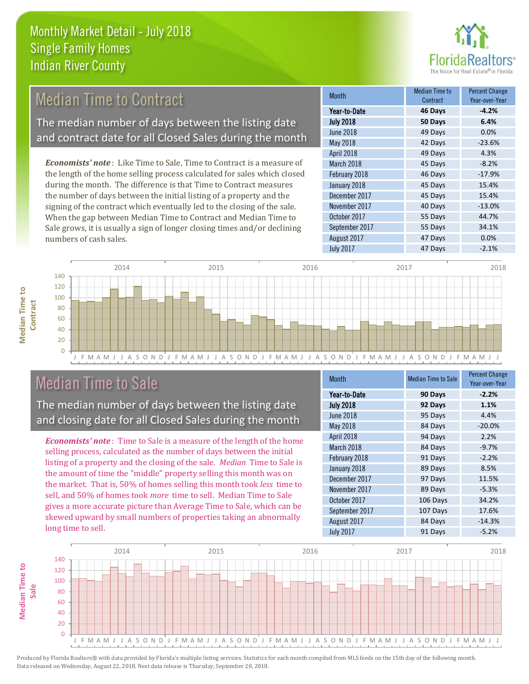

#### *Economists' note* : Like Time to Sale, Time to Contract is a measure of the length of the home selling process calculated for sales which closed during the month. The difference is that Time to Contract measures the number of days between the initial listing of a property and the signing of the contract which eventually led to the closing of the sale. When the gap between Median Time to Contract and Median Time to 55 Days 44.7% October 2017 March 2018 **45 Days** -8.2% February 2018 **46 Days** -17.9% January 2018 **45 Days** 15.4% December 2017 15.4% November 2017 **40 Days** -13.0% Month Month Median Time to **Contract** Percent Change Year-over-Year July 2018 **50 Days 6.4%** Year-to-Date **46 Days -4.2%** June 2018 **49 Days 0.0%** May 2018 **42 Days** -23.6% April 2018 **49 Days** 4.3% Median Time to Contract The median number of days between the listing date and contract date for all Closed Sales during the month



# Median Time to Sale

numbers of cash sales.

**Median Time to** 

**Median Time to** 

The median number of days between the listing date and closing date for all Closed Sales during the month

Sale grows, it is usually a sign of longer closing times and/or declining

*Economists' note* : Time to Sale is a measure of the length of the home selling process, calculated as the number of days between the initial listing of a property and the closing of the sale. *Median* Time to Sale is the amount of time the "middle" property selling this month was on the market. That is, 50% of homes selling this month took *less* time to sell, and 50% of homes took *more* time to sell. Median Time to Sale gives a more accurate picture than Average Time to Sale, which can be skewed upward by small numbers of properties taking an abnormally long time to sell.

| <b>Month</b>     | <b>Median Time to Sale</b> | <b>Percent Change</b><br>Year-over-Year |
|------------------|----------------------------|-----------------------------------------|
| Year-to-Date     | 90 Days                    | $-2.2%$                                 |
| <b>July 2018</b> | 92 Days                    | 1.1%                                    |
| <b>June 2018</b> | 95 Days                    | 4.4%                                    |
| May 2018         | 84 Days                    | $-20.0%$                                |
| April 2018       | 94 Days                    | 2.2%                                    |
| March 2018       | 84 Days                    | $-9.7%$                                 |
| February 2018    | 91 Days                    | $-2.2%$                                 |
| January 2018     | 89 Days                    | 8.5%                                    |
| December 2017    | 97 Days                    | 11.5%                                   |
| November 2017    | 89 Days                    | $-5.3%$                                 |
| October 2017     | 106 Days                   | 34.2%                                   |
| September 2017   | 107 Days                   | 17.6%                                   |
| August 2017      | 84 Days                    | $-14.3%$                                |
| <b>July 2017</b> | 91 Days                    | $-5.2%$                                 |

August 2017 **47 Days 0.0%** 

September 2017 **55 Days** 34.1%

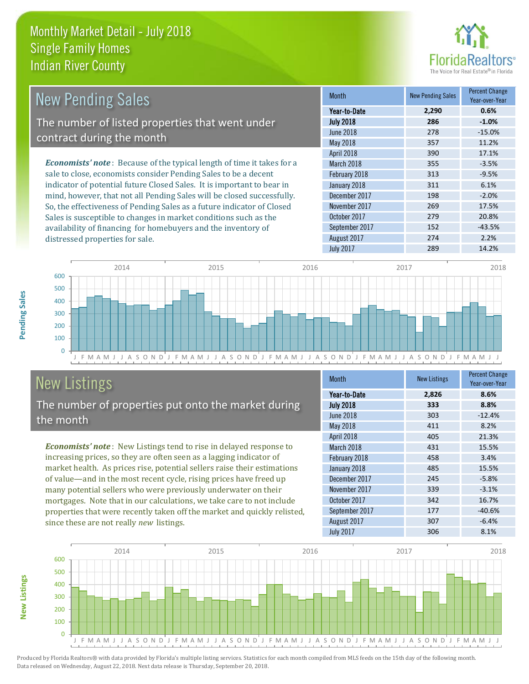distressed properties for sale.



| <b>New Pending Sales</b>                                                       | <b>Month</b>      | <b>New Pending Sales</b> | <b>Percent Change</b><br>Year-over-Year |
|--------------------------------------------------------------------------------|-------------------|--------------------------|-----------------------------------------|
|                                                                                | Year-to-Date      | 2.290                    | 0.6%                                    |
| The number of listed properties that went under                                | <b>July 2018</b>  | 286                      | $-1.0%$                                 |
| contract during the month                                                      | June 2018         | 278                      | $-15.0%$                                |
|                                                                                | May 2018          | 357                      | 11.2%                                   |
|                                                                                | <b>April 2018</b> | 390                      | 17.1%                                   |
| <b>Economists' note</b> : Because of the typical length of time it takes for a | March 2018        | 355                      | $-3.5%$                                 |
| sale to close, economists consider Pending Sales to be a decent                | February 2018     | 313                      | $-9.5%$                                 |
| indicator of potential future Closed Sales. It is important to bear in         | January 2018      | 311                      | 6.1%                                    |
| mind, however, that not all Pending Sales will be closed successfully.         | December 2017     | 198                      | $-2.0%$                                 |
| So, the effectiveness of Pending Sales as a future indicator of Closed         | November 2017     | 269                      | 17.5%                                   |
| Sales is susceptible to changes in market conditions such as the               | October 2017      | 279                      | 20.8%                                   |



# New Listings

The number of properties put onto the market during the month

availability of financing for homebuyers and the inventory of

*Economists' note* : New Listings tend to rise in delayed response to increasing prices, so they are often seen as a lagging indicator of market health. As prices rise, potential sellers raise their estimations of value—and in the most recent cycle, rising prices have freed up many potential sellers who were previously underwater on their mortgages. Note that in our calculations, we take care to not include properties that were recently taken off the market and quickly relisted, since these are not really *new* listings.

| <b>Month</b>     | <b>New Listings</b> | <b>Percent Change</b><br>Year-over-Year |
|------------------|---------------------|-----------------------------------------|
| Year-to-Date     | 2,826               | 8.6%                                    |
| <b>July 2018</b> | 333                 | 8.8%                                    |
| <b>June 2018</b> | 303                 | $-12.4%$                                |
| <b>May 2018</b>  | 411                 | 8.2%                                    |
| April 2018       | 405                 | 21.3%                                   |
| March 2018       | 431                 | 15.5%                                   |
| February 2018    | 458                 | 3.4%                                    |
| January 2018     | 485                 | 15.5%                                   |
| December 2017    | 245                 | $-5.8%$                                 |
| November 2017    | 339                 | $-3.1%$                                 |
| October 2017     | 342                 | 16.7%                                   |
| September 2017   | 177                 | $-40.6%$                                |
| August 2017      | 307                 | $-6.4%$                                 |
| <b>July 2017</b> | 306                 | 8.1%                                    |

September 2017 152 152 -43.5% August 2017 274 2.2%



Produced by Florida Realtors® with data provided by Florida's multiple listing services. Statistics for each month compiled from MLS feeds on the 15th day of the following month. Data released on Wednesday, August 22, 2018. Next data release is Thursday, September 20, 2018.

**New Listings**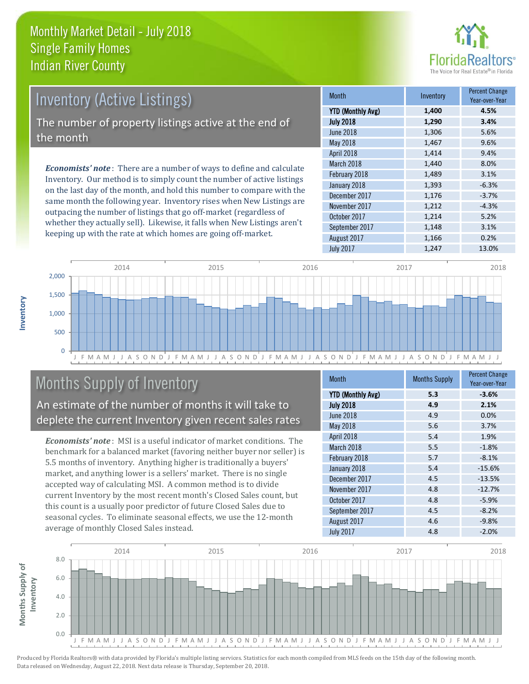

| <b>Inventory (Active Listings)</b>                                           |        |
|------------------------------------------------------------------------------|--------|
|                                                                              | YTD (M |
| The number of property listings active at the end of<br>the month            |        |
|                                                                              |        |
| <b>Economists' note</b> : There are a number of ways to define and calculate |        |
|                                                                              |        |

Inventory. Our method is to simply count the number of active listings on the last day of the month, and hold this number to compare with the same month the following year. Inventory rises when New Listings are outpacing the number of listings that go off-market (regardless of whether they actually sell). Likewise, it falls when New Listings aren't keeping up with the rate at which homes are going off-market.

| <b>Month</b>             | Inventory | <b>Percent Change</b><br>Year-over-Year |
|--------------------------|-----------|-----------------------------------------|
| <b>YTD (Monthly Avg)</b> | 1,400     | 4.5%                                    |
| <b>July 2018</b>         | 1,290     | 3.4%                                    |
| <b>June 2018</b>         | 1,306     | 5.6%                                    |
| May 2018                 | 1,467     | 9.6%                                    |
| April 2018               | 1,414     | 9.4%                                    |
| March 2018               | 1,440     | 8.0%                                    |
| February 2018            | 1,489     | 3.1%                                    |
| January 2018             | 1,393     | $-6.3%$                                 |
| December 2017            | 1,176     | $-3.7%$                                 |
| November 2017            | 1,212     | $-4.3%$                                 |
| October 2017             | 1,214     | 5.2%                                    |
| September 2017           | 1,148     | 3.1%                                    |
| August 2017              | 1,166     | 0.2%                                    |
| <b>July 2017</b>         | 1,247     | 13.0%                                   |



# Months Supply of Inventory

An estimate of the number of months it will take to deplete the current Inventory given recent sales rates

*Economists' note* : MSI is a useful indicator of market conditions. The benchmark for a balanced market (favoring neither buyer nor seller) is 5.5 months of inventory. Anything higher is traditionally a buyers' market, and anything lower is a sellers' market. There is no single accepted way of calculating MSI. A common method is to divide current Inventory by the most recent month's Closed Sales count, but this count is a usually poor predictor of future Closed Sales due to seasonal cycles. To eliminate seasonal effects, we use the 12-month average of monthly Closed Sales instead.

| Month                    | <b>Months Supply</b> | <b>Percent Change</b><br>Year-over-Year |
|--------------------------|----------------------|-----------------------------------------|
| <b>YTD (Monthly Avg)</b> | 5.3                  | $-3.6%$                                 |
| <b>July 2018</b>         | 4.9                  | 2.1%                                    |
| <b>June 2018</b>         | 4.9                  | 0.0%                                    |
| <b>May 2018</b>          | 5.6                  | 3.7%                                    |
| April 2018               | 5.4                  | 1.9%                                    |
| March 2018               | 5.5                  | $-1.8%$                                 |
| February 2018            | 5.7                  | $-8.1%$                                 |
| January 2018             | 5.4                  | $-15.6%$                                |
| December 2017            | 4.5                  | $-13.5%$                                |
| November 2017            | 4.8                  | $-12.7%$                                |
| October 2017             | 4.8                  | $-5.9%$                                 |
| September 2017           | 4.5                  | $-8.2%$                                 |
| August 2017              | 4.6                  | $-9.8%$                                 |
| <b>July 2017</b>         | 4.8                  | $-2.0%$                                 |

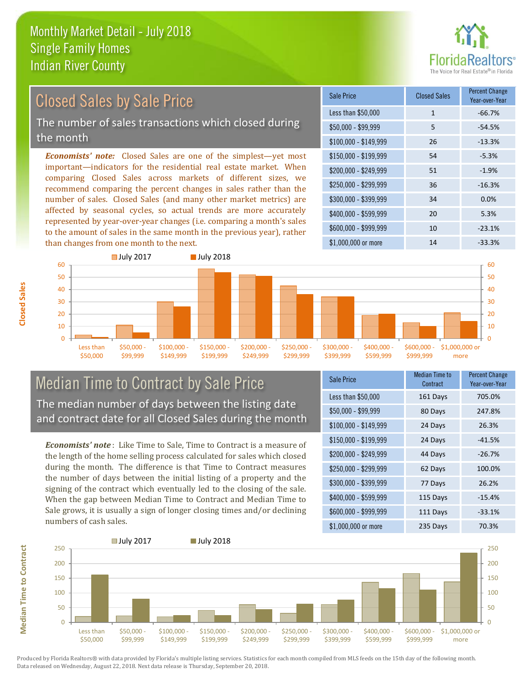

# Closed Sales by Sale Price

The number of sales transactions which closed during the month

*Economists' note:* Closed Sales are one of the simplest—yet most important—indicators for the residential real estate market. When comparing Closed Sales across markets of different sizes, we recommend comparing the percent changes in sales rather than the number of sales. Closed Sales (and many other market metrics) are affected by seasonal cycles, so actual trends are more accurately represented by year-over-year changes (i.e. comparing a month's sales to the amount of sales in the same month in the previous year), rather than changes from one month to the next.

| Sale Price            | <b>Closed Sales</b> | <b>Percent Change</b><br>Year-over-Year |
|-----------------------|---------------------|-----------------------------------------|
| Less than \$50,000    | 1                   | $-66.7%$                                |
| $$50,000 - $99,999$   | 5                   | $-54.5%$                                |
| $$100,000 - $149,999$ | 26                  | $-13.3%$                                |
| $$150,000 - $199,999$ | 54                  | $-5.3%$                                 |
| \$200,000 - \$249,999 | 51                  | $-1.9%$                                 |
| \$250,000 - \$299,999 | 36                  | $-16.3%$                                |
| \$300,000 - \$399,999 | 34                  | 0.0%                                    |
| \$400,000 - \$599,999 | 20                  | 5.3%                                    |
| \$600,000 - \$999,999 | 10                  | $-23.1%$                                |
| \$1,000,000 or more   | 14                  | $-33.3%$                                |



#### Median Time to Contract by Sale Price The median number of days between the listing date and contract date for all Closed Sales during the month

*Economists' note* : Like Time to Sale, Time to Contract is a measure of the length of the home selling process calculated for sales which closed during the month. The difference is that Time to Contract measures the number of days between the initial listing of a property and the signing of the contract which eventually led to the closing of the sale. When the gap between Median Time to Contract and Median Time to Sale grows, it is usually a sign of longer closing times and/or declining numbers of cash sales.

| Sale Price            | Median Time to<br>Contract | <b>Percent Change</b><br>Year-over-Year |
|-----------------------|----------------------------|-----------------------------------------|
| Less than \$50,000    | 161 Days                   | 705.0%                                  |
| \$50,000 - \$99,999   | 80 Days                    | 247.8%                                  |
| $$100,000 - $149,999$ | 24 Days                    | 26.3%                                   |
| $$150,000 - $199,999$ | 24 Days                    | $-41.5%$                                |
| \$200,000 - \$249,999 | 44 Days                    | $-26.7%$                                |
| \$250,000 - \$299,999 | 62 Days                    | 100.0%                                  |
| \$300,000 - \$399,999 | 77 Days                    | 26.2%                                   |
| \$400,000 - \$599,999 | 115 Days                   | $-15.4%$                                |
| \$600,000 - \$999,999 | 111 Days                   | $-33.1%$                                |
| \$1,000,000 or more   | 235 Days                   | 70.3%                                   |



Produced by Florida Realtors® with data provided by Florida's multiple listing services. Statistics for each month compiled from MLS feeds on the 15th day of the following month. Data released on Wednesday, August 22, 2018. Next data release is Thursday, September 20, 2018.

**Median Time to Contract**

**Median Time to Contract**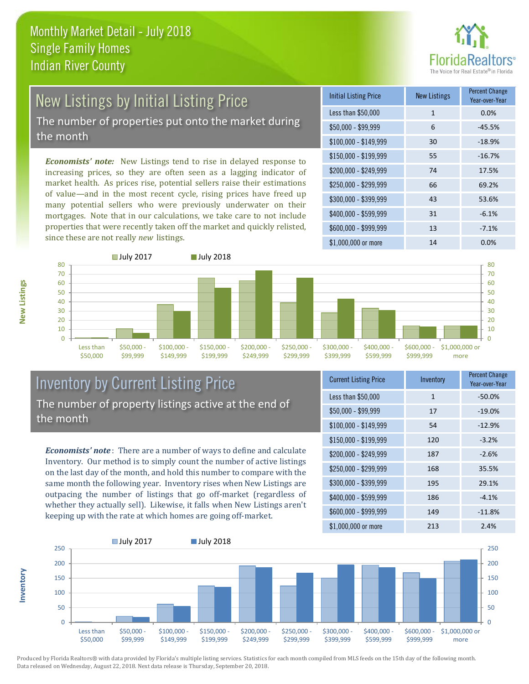

# New Listings by Initial Listing Price The number of properties put onto the market during

the month

*Economists' note:* New Listings tend to rise in delayed response to increasing prices, so they are often seen as a lagging indicator of market health. As prices rise, potential sellers raise their estimations of value—and in the most recent cycle, rising prices have freed up many potential sellers who were previously underwater on their mortgages. Note that in our calculations, we take care to not include properties that were recently taken off the market and quickly relisted, since these are not really *new* listings.

| <b>Initial Listing Price</b> | <b>New Listings</b> | <b>Percent Change</b><br>Year-over-Year |
|------------------------------|---------------------|-----------------------------------------|
| Less than \$50,000           | $\mathbf{1}$        | 0.0%                                    |
| \$50,000 - \$99,999          | 6                   | $-45.5%$                                |
| $$100,000 - $149,999$        | 30                  | $-18.9%$                                |
| $$150,000 - $199,999$        | 55                  | $-16.7%$                                |
| \$200,000 - \$249,999        | 74                  | 17.5%                                   |
| \$250,000 - \$299,999        | 66                  | 69.2%                                   |
| \$300,000 - \$399,999        | 43                  | 53.6%                                   |
| \$400,000 - \$599,999        | 31                  | $-6.1%$                                 |
| \$600,000 - \$999,999        | 13                  | $-7.1%$                                 |
| \$1,000,000 or more          | 14                  | 0.0%                                    |



#### Inventory by Current Listing Price The number of property listings active at the end of the month

*Economists' note* : There are a number of ways to define and calculate Inventory. Our method is to simply count the number of active listings on the last day of the month, and hold this number to compare with the same month the following year. Inventory rises when New Listings are outpacing the number of listings that go off-market (regardless of whether they actually sell). Likewise, it falls when New Listings aren't keeping up with the rate at which homes are going off-market.

| <b>Current Listing Price</b> | Inventory    | <b>Percent Change</b><br>Year-over-Year |
|------------------------------|--------------|-----------------------------------------|
| Less than \$50,000           | $\mathbf{1}$ | $-50.0%$                                |
| $$50,000 - $99,999$          | 17           | $-19.0%$                                |
| $$100,000 - $149,999$        | 54           | $-12.9%$                                |
| $$150,000 - $199,999$        | 120          | $-3.2%$                                 |
| \$200,000 - \$249,999        | 187          | $-2.6%$                                 |
| \$250,000 - \$299,999        | 168          | 35.5%                                   |
| \$300,000 - \$399,999        | 195          | 29.1%                                   |
| \$400,000 - \$599,999        | 186          | $-4.1%$                                 |
| \$600,000 - \$999,999        | 149          | $-11.8%$                                |
| \$1,000,000 or more          | 213          | 2.4%                                    |



Produced by Florida Realtors® with data provided by Florida's multiple listing services. Statistics for each month compiled from MLS feeds on the 15th day of the following month. Data released on Wednesday, August 22, 2018. Next data release is Thursday, September 20, 2018.

**Inventory**